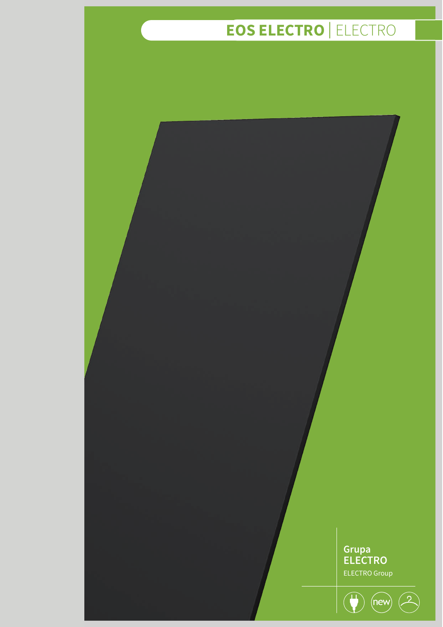# $\overline{EOS}$  **ELECTRO**  $\overline{ELECTRO}$

**Grupa ELECTRO** ELECTRO Group

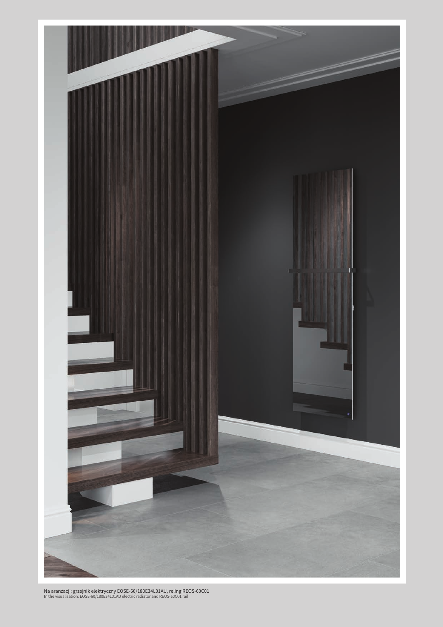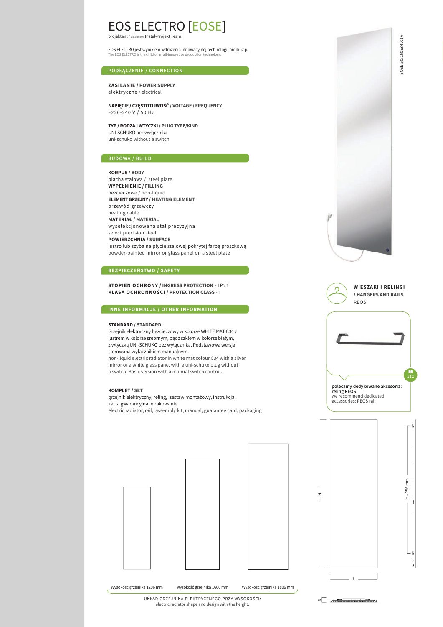## EOS ELECTRO [EOSE] projektant / designer Instal-Projekt Team

EOS ELECTRO jest wynikiem wdrożenia innowacyjnej technologii produkcji. The EOS ELECTRO is the child of an all-innovative production technology.

#### **PODŁĄCZENIE / CONNECTION**

**ZASILANIE / POWER SUPPLY** elektryczne / electrical

**NAPIĘCIE / CZĘSTOTLIWOŚĆ / VOLTAGE / FREQUENCY**  $~220 - 240$  V / 50 Hz

**TYP / RODZAJ WTYCZKI / PLUG TYPE/KIND** UNI-SCHUKO bez wyłącznika uni-schuko without a switch

**KORPUS / BODY** 

blacha stalowa / steel plate **WYPEŁNIENIE / FILLING**  bezcieczowe / non-liquid **ELEMENT GRZEJNY / HEATING ELEMENT**  przewód grzewczy heating cable **MATERIAŁ / MATERIAL**  wyselekcjonowana stal precyzyjna select precision steel **POWIERZCHNIA / SURFACE** lustro lub szyba na płycie stalowej pokrytej farbą proszkową powder-painted mirror or glass panel on a steel plate

#### **BEZPIECZEŃSTWO / SAFETY**

**STOPIEŃ OCHRONY / INGRESS PROTECTION** - IP21 **KLASA OCHRONNOŚCI / PROTECTION CLASS** - I

**INNE INFORMACJE / OTHER INFORMATION**

#### **STANDARD / STANDARD**

Grzejnik elektryczny bezcieczowy w kolorze WHITE MAT C34 z lustrem w kolorze srebrnym, bądź szkłem w kolorze białym, z wtyczką UNI-SCHUKO bez wyłącznika. Podstawowa wersja sterowana wyłącznikiem manualnym. non-liquid electric radiator in white mat colour C34 with a silver mirror or a white glass pane, with a uni-schuko plug without a switch. Basic version with a manual switch control.

#### **KOMPLET / SET**

grzejnik elektryczny, reling, zestaw montażowy, instrukcja, karta gwarancyjna, opakowanie electric radiator, rail, assembly kit, manual, guarantee card, packaging











an an Dùbhlacha

G

EOSE-50/160E34L01A EOSE-50/160E34L01A

UKŁAD GRZEJNIKA ELEKTRYCZNEGO PRZY WYSOKOŚCI: electric radiator shape and design with the height: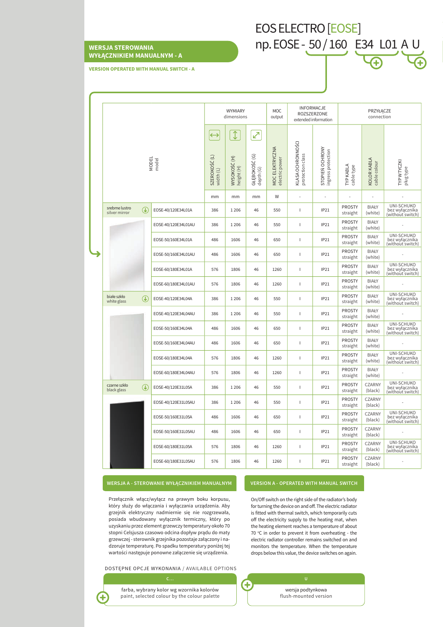### **WERSJA STEROWANIA WYŁĄCZNIKIEM MANUALNYM - A**

en 1911. In the set of the set of the set of the set of the set of the set of the set of the set of the set of the set of the set of the set of the set of the set of the set of the set of the set of the set of the set of t

**VERSION OPERATED WITH MANUAL SWITCH - A**

|  |                                 |                                                                              |                     | WYMIARY<br>dimensions                           |                                              |                                     | MOC<br>output                     | <b>INFORMACJE</b><br>ROZSZERZONE<br>extended information |                                       | PRZYŁĄCZE<br>connection        |                             |                                                  |
|--|---------------------------------|------------------------------------------------------------------------------|---------------------|-------------------------------------------------|----------------------------------------------|-------------------------------------|-----------------------------------|----------------------------------------------------------|---------------------------------------|--------------------------------|-----------------------------|--------------------------------------------------|
|  | <b>MODEL</b><br>model           |                                                                              |                     | $\leftrightarrow$<br>SZEROKOŚĆ (L)<br>width (L) | $\updownarrow$<br>WYSOKOŚĆ (H)<br>height (H) | اتحمي<br>GŁĘBOKOŚĆ (G)<br>depth (G) | MOC ELEKTRYCZNA<br>electric power | KLASA OCHRONNOŚCI<br>protection class                    | STOPIEŃ OCHRONY<br>ingress protection | <b>TYP KABLA</b><br>cable type | KOLOR KABLA<br>cable colour | TYP WTYCZKI<br>plug type                         |
|  |                                 |                                                                              |                     | mm                                              | mm                                           | mm                                  | W                                 |                                                          |                                       |                                | ä,                          |                                                  |
|  | srebrne lustro<br>silver mirror | $\left( \mathbf{\downarrow}\right)$                                          | EOSE-40/120E34L01A  | 386                                             | 1 2 0 6                                      | 46                                  | 550                               | I                                                        | <b>IP21</b>                           | <b>PROSTY</b><br>straight      | <b>BIAŁY</b><br>(white)     | UNI-SCHUKO<br>bez wyłącznika<br>(without switch) |
|  |                                 |                                                                              | EOSE-40/120E34L01AU | 386                                             | 1206                                         | 46                                  | 550                               | T                                                        | IP21                                  | <b>PROSTY</b><br>straight      | <b>BIAŁY</b><br>(white)     |                                                  |
|  |                                 |                                                                              | EOSE-50/160E34L01A  | 486                                             | 1606                                         | 46                                  | 650                               | T                                                        | IP21                                  | <b>PROSTY</b><br>straight      | <b>BIAŁY</b><br>(white)     | UNI-SCHUKO<br>bez wyłącznika<br>(without switch) |
|  |                                 |                                                                              | EOSE-50/160E34L01AU | 486                                             | 1606                                         | 46                                  | 650                               | T                                                        | IP21                                  | <b>PROSTY</b><br>straight      | <b>BIAŁY</b><br>(white)     |                                                  |
|  |                                 |                                                                              | EOSE-60/180E34L01A  | 576                                             | 1806                                         | 46                                  | 1260                              | T                                                        | IP21                                  | <b>PROSTY</b><br>straight      | <b>BIAŁY</b><br>(white)     | UNI-SCHUKO<br>bez wyłącznika<br>(without`switch) |
|  |                                 |                                                                              | EOSE-60/180E34L01AU | 576                                             | 1806                                         | 46                                  | 1260                              | $\overline{1}$                                           | IP21                                  | <b>PROSTY</b><br>straight      | <b>BIAŁY</b><br>(white)     |                                                  |
|  | białe szkło<br>white glass      | $\left( \mathbf{\downarrow}\right)$                                          | EOSE-40/120E34L04A  | 386                                             | 1 2 0 6                                      | 46                                  | 550                               | T                                                        | IP21                                  | <b>PROSTY</b><br>straight      | <b>BIAŁY</b><br>(white)     | UNI-SCHUKO<br>bez wyłącznika<br>(without`switch) |
|  |                                 |                                                                              | EOSE-40/120E34L04AU | 386                                             | 1 2 0 6                                      | 46                                  | 550                               | T                                                        | IP21                                  | <b>PROSTY</b><br>straight      | <b>BIAŁY</b><br>(white)     |                                                  |
|  |                                 |                                                                              | EOSE-50/160E34L04A  | 486                                             | 1606                                         | 46                                  | 650                               | I                                                        | IP21                                  | <b>PROSTY</b><br>straight      | <b>BIAŁY</b><br>(white)     | UNI-SCHUKO<br>bez wyłącznika<br>(without switch) |
|  |                                 |                                                                              | EOSE-50/160E34L04AU | 486                                             | 1606                                         | 46                                  | 650                               | T                                                        | IP21                                  | <b>PROSTY</b><br>straight      | <b>BIAŁY</b><br>(white)     |                                                  |
|  |                                 |                                                                              | EOSE-60/180E34L04A  | 576                                             | 1806                                         | 46                                  | 1260                              | T                                                        | IP21                                  | <b>PROSTY</b><br>straight      | <b>BIAŁY</b><br>(white)     | UNI-SCHUKO<br>bez wyłącznika<br>(without switch) |
|  |                                 |                                                                              | EOSE-60/180E34L04AU | 576                                             | 1806                                         | 46                                  | 1260                              | T                                                        | IP21                                  | <b>PROSTY</b><br>straight      | <b>BIAŁY</b><br>(white)     |                                                  |
|  | czarne szkło<br>black glass     | $\left(\begin{smallmatrix}\textcolor{red}{\bullet} \end{smallmatrix}\right)$ | EOSE-40/120E31L05A  | 386                                             | 1206                                         | 46                                  | 550                               | T                                                        | IP21                                  | <b>PROSTY</b><br>straight      | <b>CZARNY</b><br>(black)    | UNI-SCHUKO<br>bez wyłącznika<br>(without switch) |
|  |                                 |                                                                              | EOSE-40/120E31L05AU | 386                                             | 1 2 0 6                                      | 46                                  | 550                               | T                                                        | IP21                                  | <b>PROSTY</b><br>straight      | <b>CZARNY</b><br>(black)    |                                                  |
|  |                                 |                                                                              | EOSE-50/160E31L05A  | 486                                             | 1606                                         | 46                                  | 650                               | T                                                        | <b>IP21</b>                           | <b>PROSTY</b><br>straight      | CZARNY<br>(black)           | UNI-SCHUKO<br>bez wyłącznika<br>(without switch) |
|  |                                 |                                                                              | EOSE-50/160E31L05AU | 486                                             | 1606                                         | 46                                  | 650                               | T                                                        | IP21                                  | <b>PROSTY</b><br>straight      | <b>CZARNY</b><br>(black)    |                                                  |
|  |                                 |                                                                              | EOSE-60/180E31L05A  | 576                                             | 1806                                         | 46                                  | 1260                              | T                                                        | IP21                                  | <b>PROSTY</b><br>straight      | <b>CZARNY</b><br>(black)    | UNI-SCHUKO<br>bez wyłącznika<br>(without switch) |
|  |                                 |                                                                              | EOSE-60/180E31L05AU | 576                                             | 1806                                         | 46                                  | 1260                              | $\mathbf{I}$                                             | IP21                                  | <b>PROSTY</b><br>straight      | <b>CZARNY</b><br>(black)    |                                                  |

#### **WERSJA A - STEROWANIE WYŁĄCZNIKIEM MANUALNYM**

#### **VERSION A - OPERATED WITH MANUAL SWITCH**

np. EOSE - 50 / 160 E34 L01 A U

Przełącznik włącz/wyłącz na prawym boku korpusu, który służy do włączania i wyłączania urządzenia. Aby grzejnik elektryczny nadmiernie się nie rozgrzewała, posiada wbudowany wyłącznik termiczny, który po uzyskaniu przez element grzewczy temperatury około 70 stopni Celsjusza czasowo odcina dopływ prądu do maty grzewczej - sterownik grzejnika pozostaje załączony i nadzoruje temperaturę. Po spadku temperatury poniżej tej wartości następuje ponowne załączenie się urządzenia.

DOSTĘPNE OPCJE WYKONANIA / AVAILABLE OPTIONS



farba, wybrany kolor wg wzornika kolorów paint, selected colour by the colour palette On/Off switch on the right side of the radiator's body for turning the device on and off. The electric radiator is fitted with thermal switch, which temporarily cuts off the electricity supply to the heating mat, when the heating element reaches a temperature of about 70  $\degree$ C in order to prevent it from overheating - the electric radiator controller remains switched on and monitors the temperature. When the temperature drops below this value, the device switches on again.

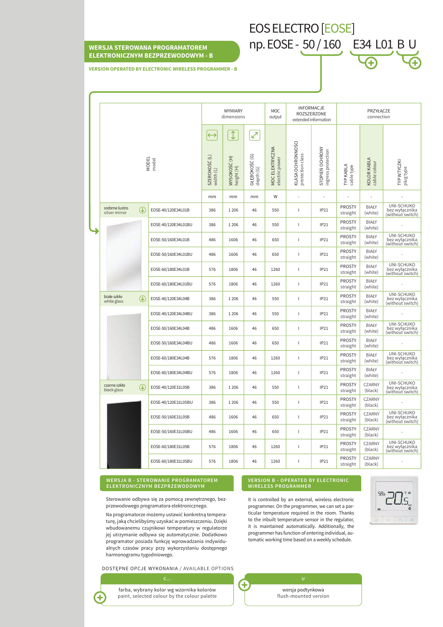# **WERSJA STEROWANA PROGRAMATOREM** np. EOSE - 50 / 160 E34 L01 B U **ELEKTRONICZNYM BEZPRZEWODOWYM - B**

**VERSION OPERATED BY ELECTRONIC WIRELESS PROGRAMMER - B**

|  | <b>MODEL</b><br>model           |               |                     | <b>WYMIARY</b><br>dimensions                    |                                              |                                 | MOC<br>output                     | INFORMACJE<br>ROZSZERZONE<br>extended information |                                       | PRZYŁĄCZE<br>connection   |                             |                                                  |
|--|---------------------------------|---------------|---------------------|-------------------------------------------------|----------------------------------------------|---------------------------------|-----------------------------------|---------------------------------------------------|---------------------------------------|---------------------------|-----------------------------|--------------------------------------------------|
|  |                                 |               |                     | $\leftrightarrow$<br>SZEROKOŚĆ (L)<br>width (L) | $\updownarrow$<br>WYSOKOŚĆ (H)<br>height (H) | ⊘<br>GŁĘBOKOŚĆ (G)<br>depth (G) | MOC ELEKTRYCZNA<br>electric power | KLASA OCHRONNOŚCI<br>protection class             | STOPIEŃ OCHRONY<br>ingress protection | TYP KABLA<br>cable type   | KOLOR KABLA<br>cable colour | TYP WTYCZKI<br>plug type                         |
|  |                                 |               |                     | mm                                              | mm                                           | mm                              | W                                 |                                                   | $\overline{a}$                        |                           |                             |                                                  |
|  | srebrne lustro<br>silver mirror | $\mathbb{G}$  | EOSE-40/120E34L01B  | 386                                             | 1206                                         | 46                              | 550                               | т                                                 | IP21                                  | <b>PROSTY</b><br>straight | <b>BIAŁY</b><br>(white)     | UNI-SCHUKO<br>bez wyłącznika<br>(without`switch) |
|  |                                 |               | EOSE-40/120E34L01BU | 386                                             | 1206                                         | 46                              | 550                               | I.                                                | IP21                                  | <b>PROSTY</b><br>straight | <b>BIAŁY</b><br>(white)     |                                                  |
|  |                                 |               | EOSE-50/160E34L01B  | 486                                             | 1606                                         | 46                              | 650                               | I.                                                | IP21                                  | <b>PROSTY</b><br>straight | <b>BIAŁY</b><br>(white)     | UNI-SCHUKO<br>bez wyłącznika<br>(without switch) |
|  |                                 |               | EOSE-50/160E34L01BU | 486                                             | 1606                                         | 46                              | 650                               | I.                                                | IP21                                  | <b>PROSTY</b><br>straight | <b>BIAŁY</b><br>(white)     |                                                  |
|  |                                 |               | EOSE-60/180E34L01B  | 576                                             | 1806                                         | 46                              | 1260                              | I.                                                | IP21                                  | <b>PROSTY</b><br>straight | <b>BIAŁY</b><br>(white)     | UNI-SCHUKO<br>bez wyłącznika<br>(without switch) |
|  |                                 |               | EOSE-60/180E34L01BU | 576                                             | 1806                                         | 46                              | 1260                              | I.                                                | IP21                                  | <b>PROSTY</b><br>straight | <b>BIAŁY</b><br>(white)     |                                                  |
|  | białe szkło<br>white glass      | $\mathcal{F}$ | EOSE-40/120E34L04B  | 386                                             | 1206                                         | 46                              | 550                               | I.                                                | IP21                                  | <b>PROSTY</b><br>straight | <b>BIAŁY</b><br>(white)     | UNI-SCHUKO<br>bez wyłącznika<br>(without switch) |
|  |                                 |               | EOSE-40/120E34L04BU | 386                                             | 1206                                         | 46                              | 550                               | I.                                                | IP21                                  | <b>PROSTY</b><br>straight | <b>BIAŁY</b><br>(white)     |                                                  |
|  |                                 |               | EOSE-50/160E34L04B  | 486                                             | 1606                                         | 46                              | 650                               | I.                                                | IP21                                  | <b>PROSTY</b><br>straight | <b>BIAŁY</b><br>(white)     | UNI-SCHUKO<br>bez wyłącznika<br>(without switch) |
|  |                                 |               | EOSE-50/160E34L04BU | 486                                             | 1606                                         | 46                              | 650                               | $\mathbf{L}$                                      | IP21                                  | <b>PROSTY</b><br>straight | <b>BIAŁY</b><br>(white)     |                                                  |
|  |                                 |               | EOSE-60/180E34L04B  | 576                                             | 1806                                         | 46                              | 1260                              | I.                                                | IP21                                  | <b>PROSTY</b><br>straight | <b>BIAŁY</b><br>(white)     | UNI-SCHUKO<br>bez wyłącznika<br>(without switch) |
|  |                                 |               | EOSE-60/180E34L04BU | 576                                             | 1806                                         | 46                              | 1260                              | $\mathbf{L}$                                      | IP21                                  | <b>PROSTY</b><br>straight | <b>BIAŁY</b><br>(white)     |                                                  |
|  | czarne szkło<br>black glass     | $\mathcal{F}$ | EOSE-40/120E31L05B  | 386                                             | 1206                                         | 46                              | 550                               | I.                                                | IP21                                  | <b>PROSTY</b><br>straight | CZARNY<br>(black)           | UNI-SCHUKO<br>bez wyłącznika<br>(without switch) |
|  |                                 |               | EOSE-40/120E31L05BU | 386                                             | 1206                                         | 46                              | 550                               | $\mathbf{L}$                                      | IP21                                  | <b>PROSTY</b><br>straight | CZARNY<br>(black)           |                                                  |
|  |                                 |               | EOSE-50/160E31L05B  | 486                                             | 1606                                         | 46                              | 650                               | I.                                                | IP21                                  | <b>PROSTY</b><br>straight | CZARNY<br>(black)           | UNI-SCHUKO<br>bez wyłącznika<br>(without`switch) |
|  |                                 |               | EOSE-50/160E31L05BU | 486                                             | 1606                                         | 46                              | 650                               | $\mathbf{I}$                                      | IP21                                  | <b>PROSTY</b><br>straight | CZARNY<br>(black)           |                                                  |
|  |                                 |               | EOSE-60/180E31L05B  | 576                                             | 1806                                         | 46                              | 1260                              | $\mathbf{L}$                                      | IP21                                  | <b>PROSTY</b><br>straight | <b>CZARNY</b><br>(black)    | UNI-SCHUKO<br>bez wyłącznika<br>(without`switch) |
|  |                                 |               | EOSE-60/180E31L05BU | 576                                             | 1806                                         | 46                              | 1260                              | I.                                                | IP21                                  | <b>PROSTY</b><br>straight | <b>CZARNY</b><br>(black)    |                                                  |

#### **WERSJA B - STEROWANIE PROGRAMATOREM ELEKTRONICZNYM BEZPRZEWODOWYM**

Sterowanie odbywa się za pomocą zewnętrznego, bezprzewodowego programatora elektronicznego.

Na programatorze możemy ustawić konkretną temperaturę, jaką chcielibyśmy uzyskać w pomieszczeniu. Dzięki wbudowanemu czujnikowi temperatury w regulatorze jej utrzymanie odbywa się automatycznie. Dodatkowo programator posiada funkcję wprowadzania indywidualnych czasów pracy przy wykorzystaniu dostępnego harmonogramu tygodniowego.

DOSTĘPNE OPCJE WYKONANIA / AVAILABLE OPTIONS

farba, wybrany kolor wg wzornika kolorów paint, selected colour by the colour palette

4

#### **VERSION B - OPERATED BY ELECTRONIC WIRELESS PROGRAMMER**

EOS ELECTRO [EOSE]

It is controlled by an external, wireless electronic programmer. On the programmer, we can set a particular temperature required in the room. Thanks to the inbuilt temperature sensor in the regulator, it is maintained automatically. Additionally, the programmer has function of entering individual, automatic working time based on a weekly schedule.